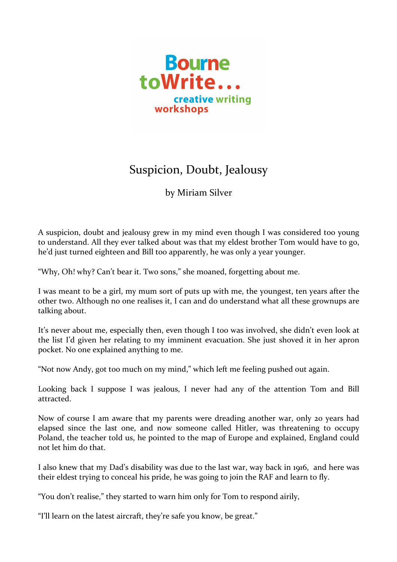

## Suspicion, Doubt, Jealousy

by Miriam Silver

A suspicion, doubt and jealousy grew in my mind even though I was considered too young to understand. All they ever talked about was that my eldest brother Tom would have to go, he'd just turned eighteen and Bill too apparently, he was only a year younger.

"Why, Oh! why? Can't bear it. Two sons," she moaned, forgetting about me.

I was meant to be a girl, my mum sort of puts up with me, the youngest, ten years after the other two. Although no one realises it, I can and do understand what all these grownups are talking about.

It's never about me, especially then, even though I too was involved, she didn't even look at the list I'd given her relating to my imminent evacuation. She just shoved it in her apron pocket. No one explained anything to me.

"Not now Andy, got too much on my mind," which left me feeling pushed out again.

Looking back I suppose I was jealous, I never had any of the attention Tom and Bill attracted.

Now of course I am aware that my parents were dreading another war, only 20 years had elapsed since the last one, and now someone called Hitler, was threatening to occupy Poland, the teacher told us, he pointed to the map of Europe and explained, England could not let him do that.

I also knew that my Dad's disability was due to the last war, way back in 1916, and here was their eldest trying to conceal his pride, he was going to join the RAF and learn to fly.

"You don't realise," they started to warn him only for Tom to respond airily,

"I'll learn on the latest aircraft, they're safe you know, be great."